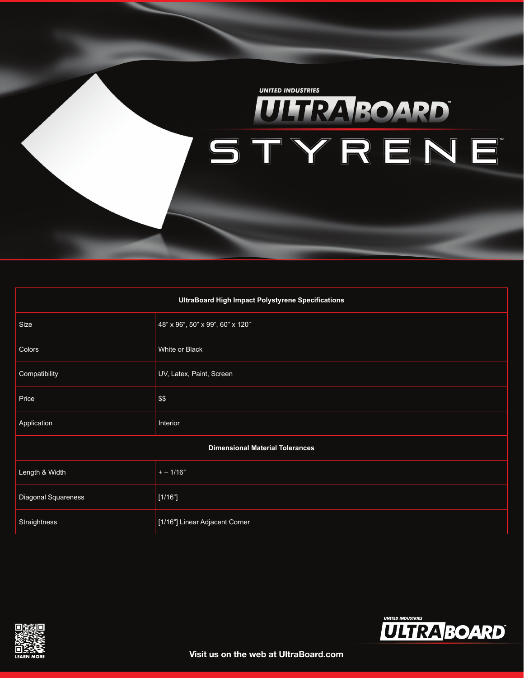

| UltraBoard High Impact Polystyrene Specifications |                                  |  |  |  |
|---------------------------------------------------|----------------------------------|--|--|--|
| Size                                              | 48" x 96", 50" x 99", 60" x 120" |  |  |  |
| Colors                                            | White or Black                   |  |  |  |
| Compatibility                                     | UV, Latex, Paint, Screen         |  |  |  |
| Price                                             | \$\$                             |  |  |  |
| Application                                       | Interior                         |  |  |  |
| <b>Dimensional Material Tolerances</b>            |                                  |  |  |  |
| Length & Width                                    | $+-1/16"$                        |  |  |  |
| Diagonal Squareness                               | [1/16"]                          |  |  |  |
| Straightness                                      | [1/16"] Linear Adjacent Corner   |  |  |  |